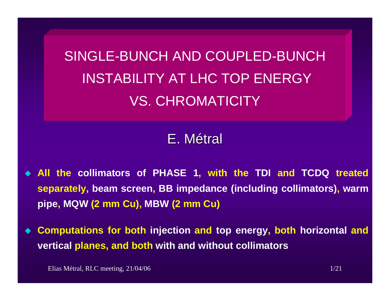SINGLE-BUNCH AND COUPLED-BUNCHINSTABILITY AT LHC TOP ENERGY VS. CHROMATICITY

E.Métral

- ♦ **All the collimators of PHASE 1, with the TDI and TCDQ treated separately, beam screen, BB impedance (including collimators), warm pipe, MQW (2 mm Cu), MBW (2 mm Cu)**
- $\blacklozenge$  **Computations for both injection and top energy, both horizontal and vertical planes, and both with and without collimators**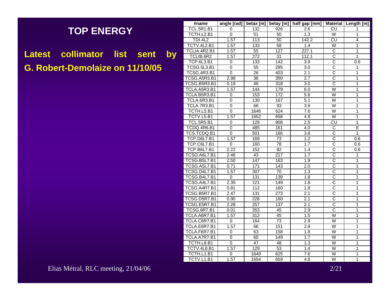## **TOP ENERGY**

**Latest collimator list sent by G. Robert-Demolaize on 11/10/05**

| #name               | angle [rad]    | betax [m]        | betay [m]        | half gap [mm]    |                               | Material   Length [m] |
|---------------------|----------------|------------------|------------------|------------------|-------------------------------|-----------------------|
| TCL.5R1.B1          | 0              | 132              | 926              | 2.6              | CU                            | 1                     |
| TCTH.L2.B1          | $\overline{0}$ | 51               | 50               | 1.3              | W                             | 1                     |
| <b>TDI.4L2</b>      | 1.57           | $\overline{113}$ | 50               | 142.2            | CU                            | 4                     |
| <b>TCTV.4L2.B1</b>  | 1.57           | 133              | 58               | 1.4              | $\overline{\mathsf{W}}$       | $\overline{1}$        |
| TCLIA.4R2.B1        | 1.57           | 55               | 127              | 227.1            | $\overline{\text{c}}$         | 1                     |
| TCLIB.6R2           | 1.57           | 272              | $\overline{31}$  | 112.1            | C                             | 1                     |
| <b>TCP.6L3.B1</b>   | 0              | 133              | 142              | 3.9              | $\overline{\text{c}}$         | 0.6                   |
| <b>TCSG.5L3.B1</b>  | $\mathbf{0}$   | 55               | 295              | 3.0              | $\overline{\text{c}}$         | 1                     |
| <b>TCSG.4R3.B1</b>  | $\overline{0}$ | 26               | 403              | 2.1              | $\overline{\text{c}}$         | $\overline{1}$        |
| TCSG.A5R3.B1        | 2.98           | 36               | 350              | 2.7              | $\overline{\text{c}}$         | $\overline{1}$        |
| TCSG.B5R3.B1        | 0.19           | 46               | 318              | 3.0              | $\overline{\text{c}}$         | 1                     |
| TCLA.A5R3.B1        | 1.57           | 144              | 179              | 6.0              | $\overline{\mathsf{W}}$       | 1                     |
| TCLA.B5R3.B1        | 0              | 153              | 172              | 5.6              | W                             | 1                     |
| TCLA.6R3.B1         | 0              | 130              | 167              | 5.1              | W                             | 1                     |
| TCLA.7R3.B1         | 0              | 66               | 93               | $\overline{3.6}$ | W                             | $\overline{1}$        |
| TCTH.L5.B1          | 0              | 1646             | 624              | 7.6              | W                             | 1                     |
| TCTV.L5.B1          | 1.57           | 1652             | 658              | 4.8              | W                             | $\overline{1}$        |
| <b>TCL.5R5.B1</b>   | 0              | 129              | 908              | 2.5              | $\overline{\text{c}\text{u}}$ | 1                     |
| TCDQ.4R6.B1         | 0              | 485              | 161              | 4.0              | С                             | 8                     |
| TCS.TCDQ.B1         | 0              | 501              | 166              | $\overline{3.8}$ | C                             | $\overline{1}$        |
| <b>TCP.D6L7.B1</b>  | 1.57           | 169              | 73               | 1.2              | $\overline{\text{c}}$         | 0.6                   |
| TCP.C6L7.B1         | 0              | 160              | 78               | 1.7              | $\overline{\text{c}}$         | 0.6                   |
| <b>TCP.B6L7.B1</b>  | 2.22           | 152              | 82               | 1.4              | $\overline{\text{c}}$         | 0.6                   |
| TCSG.A6L7.B1        | 2.46           | 43               | $\overline{217}$ | 1.7              | $\overline{\text{c}}$         | 1                     |
| <b>TCSG.B5L7.B1</b> | 2.50           | 147              | 163              | 1.9              | C                             | 1                     |
| TCSG.A5L7.B1        | 0.71           | 171              | 143              | 2.0              | $\overline{\text{c}}$         | $\overline{1}$        |
| TCSG.D4L7.B1        | 1.57           | 307              | 70               | 1.3              | $\overline{C}$                | 1                     |
| <b>TCSG.B4L7.B1</b> | $\Omega$       | 131              | 139              | 1.8              | $\overline{\text{c}}$         | 1                     |
| TCSG.A4L7.B1        | 2.35           | 121              | 149              | 1.8              | $\overline{\text{c}}$         | $\overline{1}$        |
| TCSG.A4R7.B1        | 0.81           | 112              | 160              | 1.8              | $\overline{\text{c}}$         | $\overline{1}$        |
| TCSG.B5R7.B1        | 2.47           | 131              | 273              | 2.1              | $\overline{\text{c}}$         | 1                     |
| TCSG.D5R7.B1        | 0.90           | 228              | 160              | 2.1              | C                             | 1                     |
| TCSG.E5R7.B1        | 2.28           | 257              | 137              | 2.1              | $\overline{\text{c}}$         | $\mathbf{1}$          |
| <b>TCSG.6R7.B1</b>  | 0.01           | 353              | 45               | 2.9              | C                             | $\overline{1}$        |
| TCLA.A6R7.B1        | 1.57           | 312              | 45               | 1.5              | W                             | $\overline{1}$        |
| TCLA.C6R7.B1        | 0              | 164              | $\overline{73}$  | 2.9              | W                             | $\mathbf{1}$          |
| TCLA.E6R7.B1        | 1.57           | 66               | 151              | 2.8              | W                             | $\overline{1}$        |
| TCLA.F6R7.B1        | 0              | 63               | 158              | 1.8              | W                             | 1                     |
| TCLA.A7R7.B1        | $\overline{0}$ | 60               | 149              | 1.7              | W                             | 1                     |
| TCTH.L8.B1          | 0              | 47               | 48               | 1.3              | W                             | 1                     |
| TCTV.4L8.B1         | 1.57           | 129              | 53               | 1.4              | W                             | $\overline{1}$        |
| TCTH.L1.B1          | 0              | 1649             | 625              | $\overline{7.6}$ | W                             | $\overline{1}$        |
| TCTV.L1.B1          | 1.57           | 1654             | 659              | 4.8              | $\overline{\mathsf{W}}$       | $\overline{1}$        |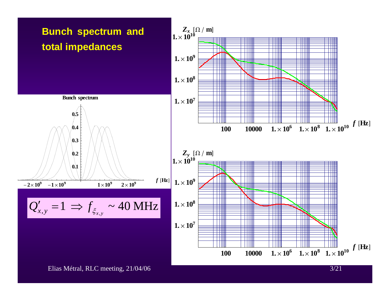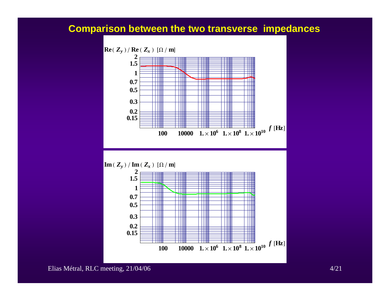## **Comparison between the two transverse impedances**

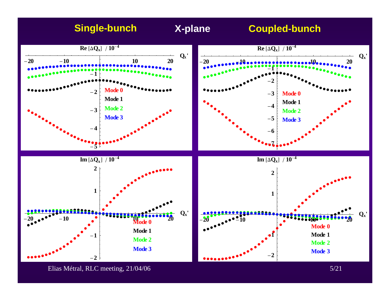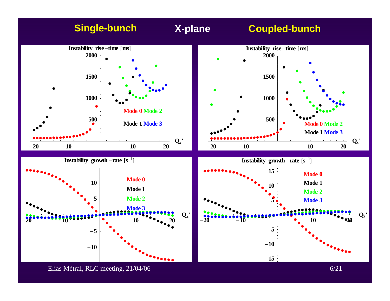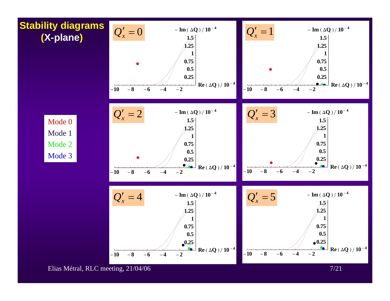

Elias Métral, RLC meeting, 21/04/06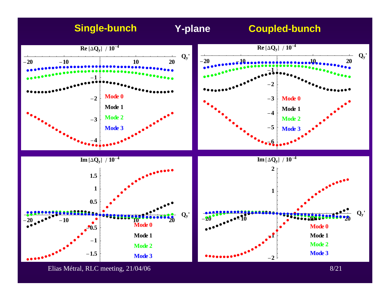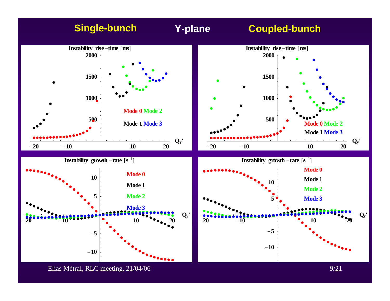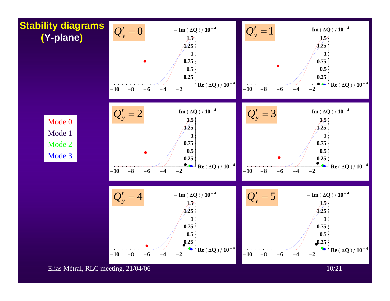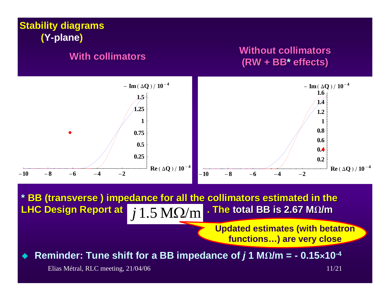

Reminder: Tune shift for a BB impedance of  $j$  1 M $\Omega$ /m = - 0.15×10<sup>-4</sup>

Elias Métral, RLC meeting, 21/04/06

 $11/21$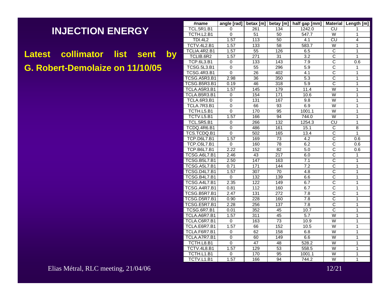## **INJECTION ENERGY**

Latest collimator list sent by **G. Robert-Demolaize on 11/10/05**

| #name               | angle [rad]    | betax $[m]$      | betay [m]        | half gap [mm]    |                         | Material   Length [m] |
|---------------------|----------------|------------------|------------------|------------------|-------------------------|-----------------------|
| <b>TCL.5R1.B1</b>   | 0              | 261              | 134              | 1242.0           | CU                      | 1                     |
| TCTH.L2.B1          | 0              | 51               | 50               | 547.7            | W                       | 1                     |
| TDI.4L2             | 1.57           | 113              | 50               | 4.1              | CU                      | 4                     |
| TCTV.4L2.B1         | 1.57           | 133              | 58               | 583.7            | W                       | $\overline{1}$        |
| TCLIA.4R2.B1        | 1.57           | 55               | 126              | 6.5              | $\overline{\text{c}}$   | $\overline{1}$        |
| TCLIB.6R2           | 1.57           | 271              | 31               | $\overline{3.2}$ | $\overline{\text{c}}$   | $\overline{1}$        |
| <b>TCP.6L3.B1</b>   | 0              | $\overline{133}$ | 143              | 7.9              | $\overline{\text{c}}$   | 0.6                   |
| <b>TCSG.5L3.B1</b>  | $\overline{0}$ | $\overline{55}$  | 296              | 5.9              | $\overline{\text{c}}$   | 1                     |
| <b>TCSG.4R3.B1</b>  | 0              | 26               | 402              | 4.1              | $\overline{\text{c}}$   | $\mathbf{1}$          |
| TCSG.A5R3.B1        | 2.98           | 36               | 350              | 5.3              | $\overline{\text{c}}$   | $\overline{1}$        |
| TCSG.B5R3.B1        | 0.19           | 46               | 318              | 5.9              | $\overline{\text{c}}$   | $\overline{1}$        |
| TCLA.A5R3.B1        | 1.57           | 145              | 179              | 11.4             | $\overline{\mathsf{w}}$ | $\overline{1}$        |
| TCLA.B5R3.B1        | 0              | 154              | 171              | 10.6             | $\overline{\mathsf{W}}$ | 1                     |
| TCLA.6R3.B1         | 0              | 131              | 167              | 9.8              | W                       | 1                     |
| TCLA.7R3.B1         | $\overline{0}$ | 66               | 93               | 6.9              | $\overline{\mathsf{w}}$ | 1                     |
| TCTH.L5.B1          | 0              | 170              | 95               | 1001.1           | W                       | 1                     |
| TCTV.L5.B1          | 1.57           | 166              | 94               | 744.0            | W                       | $\overline{1}$        |
| <b>TCL.5R5.B1</b>   | 0              | 266              | 132              | 1254.3           | <b>CU</b>               | 1                     |
| TCDQ.4R6.B1         | 0              | 486              | 161              | 15.1             | С                       | 8                     |
| TCS.TCDQ.B1         | $\overline{0}$ | 502              | 165              | 13.4             | $\overline{\text{c}}$   | $\overline{1}$        |
| <b>TCP.D6L7.B1</b>  | 1.57           | 169              | 73               | 4.2              | $\overline{\text{c}}$   | 0.6                   |
| TCP.C6L7.B1         | $\Omega$       | 160              | 78               | 6.2              | $\overline{\text{c}}$   | 0.6                   |
| <b>TCP.B6L7.B1</b>  | 2.22           | 152              | $\overline{82}$  | 5.0              | $\overline{\text{c}}$   | 0.6                   |
| TCSG.A6L7.B1        | 2.46           | 43               | $\overline{217}$ | 6.0              | $\overline{\text{c}}$   | 1                     |
| TCSG.B5L7.B1        | 2.50           | 147              | 163              | 7.1              | C                       | 1                     |
| TCSG.A5L7.B1        | 0.71           | 171              | 144              | $\overline{7.2}$ | $\overline{\text{c}}$   | 1                     |
| <b>TCSG.D4L7.B1</b> | 1.57           | 307              | 70               | 4.8              | $\overline{\text{c}}$   | $\overline{1}$        |
| <b>TCSG.B4L7.B1</b> | $\Omega$       | 132              | 139              | 6.6              | $\overline{\text{c}}$   | 1                     |
| TCSG.A4L7.B1        | 2.35           | $\overline{122}$ | 149              | 6.7              | $\overline{\text{c}}$   | 1                     |
| TCSG.A4R7.B1        | 0.81           | 112              | 160              | 6.7              | $\overline{\text{c}}$   | $\overline{1}$        |
| TCSG.B5R7.B1        | 2.47           | 131              | 272              | 7.8              | $\overline{C}$          | 1                     |
| TCSG.D5R7.B1        | 0.90           | 228              | 160              | 7.8              | C                       | $\overline{1}$        |
| TCSG.E5R7.B1        | 2.28           | 256              | 137              | 7.8              | $\overline{\text{c}}$   | $\overline{1}$        |
| <b>TCSG.6R7.B1</b>  | 0.01           | 352              | 45               | 10.7             | $\overline{\text{c}}$   | $\overline{1}$        |
| TCLA.A6R7.B1        | 1.57           | 311              | 45               | 5.7              | W                       | $\overline{1}$        |
| TCLA.C6R7.B1        | $\Omega$       | 163              | 73               | 10.9             | W                       | 1                     |
| TCLA.E6R7.B1        | 1.57           | 66               | 152              | 10.5             | W                       | $\overline{1}$        |
| TCLA.F6R7.B1        | 0              | 62               | 158              | 6.8              | W                       | $\overline{1}$        |
| TCLA.A7R7.B1        | 0              | 60               | 149              | 6.6              | W                       | $\overline{1}$        |
| TCTH.L8.B1          | 0              | 47               | 48               | 528.2            | W                       | 1                     |
| TCTV.4L8.B1         | 1.57           | 129              | 53               | 558.5            | W                       | $\overline{1}$        |
| TCTH.L1.B1          | 0              | 170              | 95               | 1001.1           | W                       | $\overline{1}$        |
| TCTV.L1.B1          | 1.57           | 166              | $\overline{94}$  | 744.2            | $\overline{\mathsf{W}}$ | $\overline{1}$        |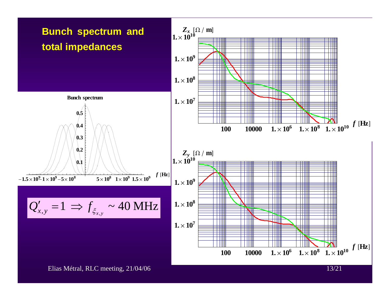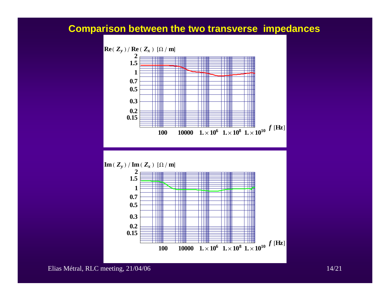## **Comparison between the two transverse impedances**





Elias Métral, RLC meeting, 21/04/06 14/21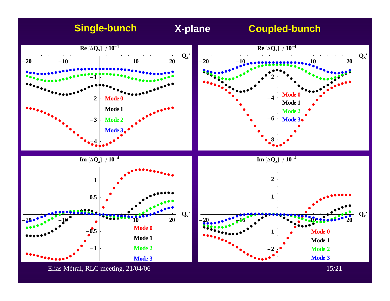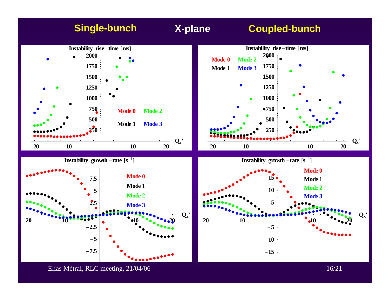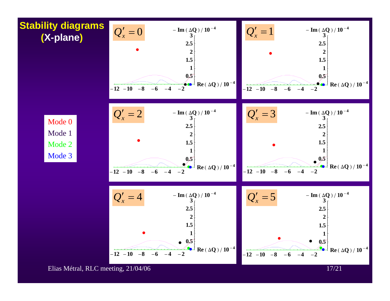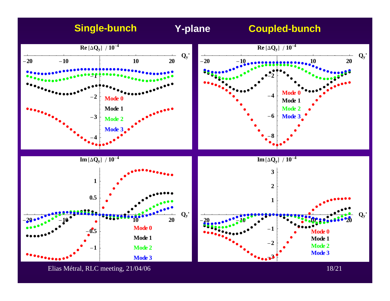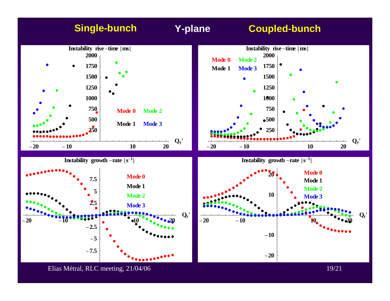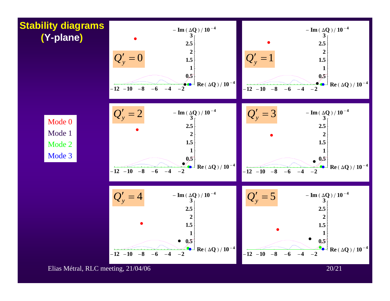